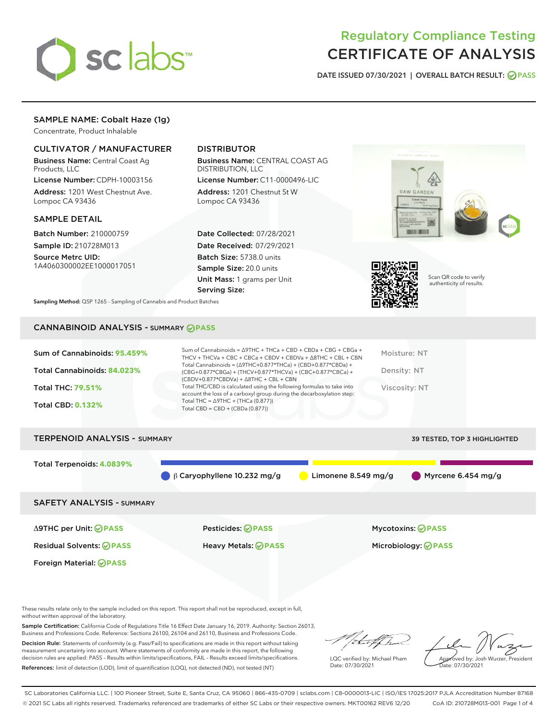

# Regulatory Compliance Testing CERTIFICATE OF ANALYSIS

DATE ISSUED 07/30/2021 | OVERALL BATCH RESULT: @ PASS

# SAMPLE NAME: Cobalt Haze (1g)

Concentrate, Product Inhalable

# CULTIVATOR / MANUFACTURER

Business Name: Central Coast Ag Products, LLC

License Number: CDPH-10003156 Address: 1201 West Chestnut Ave. Lompoc CA 93436

#### SAMPLE DETAIL

Batch Number: 210000759 Sample ID: 210728M013

Source Metrc UID: 1A4060300002EE1000017051

# DISTRIBUTOR

Business Name: CENTRAL COAST AG DISTRIBUTION, LLC

License Number: C11-0000496-LIC Address: 1201 Chestnut St W Lompoc CA 93436

Date Collected: 07/28/2021 Date Received: 07/29/2021 Batch Size: 5738.0 units Sample Size: 20.0 units Unit Mass: 1 grams per Unit Serving Size:





Scan QR code to verify authenticity of results.

Sampling Method: QSP 1265 - Sampling of Cannabis and Product Batches

# CANNABINOID ANALYSIS - SUMMARY **PASS**

| Sum of Cannabinoids: 95.459%        | Sum of Cannabinoids = $\triangle$ 9THC + THCa + CBD + CBDa + CBG + CBGa +<br>THCV + THCVa + CBC + CBCa + CBDV + CBDVa + $\land$ 8THC + CBL + CBN                                     | Moisture: NT                 |
|-------------------------------------|--------------------------------------------------------------------------------------------------------------------------------------------------------------------------------------|------------------------------|
| Total Cannabinoids: 84.023%         | Total Cannabinoids = $(\Delta$ 9THC+0.877*THCa) + (CBD+0.877*CBDa) +<br>(CBG+0.877*CBGa) + (THCV+0.877*THCVa) + (CBC+0.877*CBCa) +<br>$(CBDV+0.877*CBDVa) + \Delta 8THC + CBL + CBN$ | Density: NT                  |
| <b>Total THC: 79.51%</b>            | Total THC/CBD is calculated using the following formulas to take into<br>account the loss of a carboxyl group during the decarboxylation step:                                       | Viscosity: NT                |
| <b>Total CBD: 0.132%</b>            | Total THC = $\triangle$ 9THC + (THCa (0.877))<br>Total CBD = $CBD + (CBDa (0.877))$                                                                                                  |                              |
| <b>TERPENOID ANALYSIS - SUMMARY</b> |                                                                                                                                                                                      | 39 TESTED, TOP 3 HIGHLIGHTED |

Total Terpenoids: **4.0839%** β Caryophyllene 10.232 mg/g Limonene 8.549 mg/g Myrcene 6.454 mg/g SAFETY ANALYSIS - SUMMARY

Δ9THC per Unit: **PASS** Pesticides: **PASS** Mycotoxins: **PASS**

Foreign Material: **PASS**

Residual Solvents: **PASS** Heavy Metals: **PASS** Microbiology: **PASS**

These results relate only to the sample included on this report. This report shall not be reproduced, except in full, without written approval of the laboratory.

Sample Certification: California Code of Regulations Title 16 Effect Date January 16, 2019. Authority: Section 26013, Business and Professions Code. Reference: Sections 26100, 26104 and 26110, Business and Professions Code.

Decision Rule: Statements of conformity (e.g. Pass/Fail) to specifications are made in this report without taking measurement uncertainty into account. Where statements of conformity are made in this report, the following decision rules are applied: PASS – Results within limits/specifications, FAIL – Results exceed limits/specifications. References: limit of detection (LOD), limit of quantification (LOQ), not detected (ND), not tested (NT)

that f Tr

LQC verified by: Michael Pham Date: 07/30/2021

Approved by: Josh Wurzer, President ate: 07/30/2021

SC Laboratories California LLC. | 100 Pioneer Street, Suite E, Santa Cruz, CA 95060 | 866-435-0709 | sclabs.com | C8-0000013-LIC | ISO/IES 17025:2017 PJLA Accreditation Number 87168 © 2021 SC Labs all rights reserved. Trademarks referenced are trademarks of either SC Labs or their respective owners. MKT00162 REV6 12/20 CoA ID: 210728M013-001 Page 1 of 4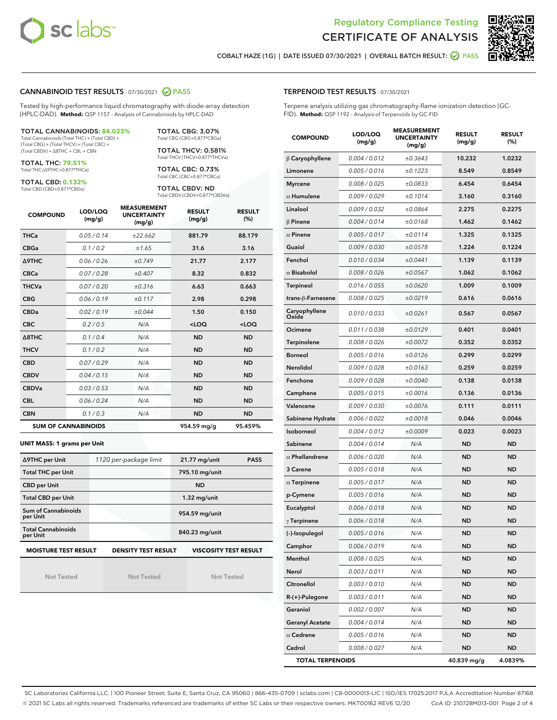



COBALT HAZE (1G) | DATE ISSUED 07/30/2021 | OVERALL BATCH RESULT: ◯ PASS

#### CANNABINOID TEST RESULTS - 07/30/2021 2 PASS

Tested by high-performance liquid chromatography with diode-array detection (HPLC-DAD). **Method:** QSP 1157 - Analysis of Cannabinoids by HPLC-DAD

#### TOTAL CANNABINOIDS: **84.023%**

Total Cannabinoids (Total THC) + (Total CBD) + (Total CBG) + (Total THCV) + (Total CBC) + (Total CBDV) + ∆8THC + CBL + CBN

TOTAL THC: **79.51%** Total THC (∆9THC+0.877\*THCa)

TOTAL CBD: **0.132%**

Total CBD (CBD+0.877\*CBDa)

TOTAL CBG: 3.07% Total CBG (CBG+0.877\*CBGa)

TOTAL THCV: 0.581% Total THCV (THCV+0.877\*THCVa)

TOTAL CBC: 0.73% Total CBC (CBC+0.877\*CBCa)

TOTAL CBDV: ND Total CBDV (CBDV+0.877\*CBDVa)

| <b>COMPOUND</b>  | LOD/LOQ<br>(mg/g)          | <b>MEASUREMENT</b><br><b>UNCERTAINTY</b><br>(mg/g) | <b>RESULT</b><br>(mg/g) | <b>RESULT</b><br>(%) |
|------------------|----------------------------|----------------------------------------------------|-------------------------|----------------------|
| <b>THCa</b>      | 0.05/0.14                  | ±22.662                                            | 881.79                  | 88.179               |
| <b>CBGa</b>      | 0.1/0.2                    | ±1.65                                              | 31.6                    | 3.16                 |
| Δ9THC            | 0.06/0.26                  | ±0.749                                             | 21.77                   | 2.177                |
| <b>CBCa</b>      | 0.07/0.28                  | ±0.407                                             | 8.32                    | 0.832                |
| <b>THCVa</b>     | 0.07 / 0.20                | ±0.316                                             | 6.63                    | 0.663                |
| <b>CBG</b>       | 0.06/0.19                  | ±0.117                                             | 2.98                    | 0.298                |
| <b>CBDa</b>      | 0.02/0.19                  | ±0.044                                             | 1.50                    | 0.150                |
| <b>CBC</b>       | 0.2/0.5                    | N/A                                                | $<$ LOQ                 | $<$ LOQ              |
| $\triangle$ 8THC | 0.1 / 0.4                  | N/A                                                | <b>ND</b>               | <b>ND</b>            |
| <b>THCV</b>      | 0.1 / 0.2                  | N/A                                                | <b>ND</b>               | <b>ND</b>            |
| <b>CBD</b>       | 0.07/0.29                  | N/A                                                | <b>ND</b>               | <b>ND</b>            |
| <b>CBDV</b>      | 0.04 / 0.15                | N/A                                                | <b>ND</b>               | <b>ND</b>            |
| <b>CBDVa</b>     | 0.03/0.53                  | N/A                                                | <b>ND</b>               | <b>ND</b>            |
| <b>CBL</b>       | 0.06 / 0.24                | N/A                                                | <b>ND</b>               | <b>ND</b>            |
| <b>CBN</b>       | 0.1 / 0.3                  | N/A                                                | <b>ND</b>               | <b>ND</b>            |
|                  | <b>SUM OF CANNABINOIDS</b> |                                                    | 954.59 mg/g             | 95.459%              |

#### **UNIT MASS: 1 grams per Unit**

| ∆9THC per Unit                        | 1120 per-package limit     | 21.77 mg/unit<br><b>PASS</b> |  |
|---------------------------------------|----------------------------|------------------------------|--|
| <b>Total THC per Unit</b>             |                            | 795.10 mg/unit               |  |
| <b>CBD per Unit</b>                   |                            | <b>ND</b>                    |  |
| <b>Total CBD per Unit</b>             |                            | $1.32$ mg/unit               |  |
| Sum of Cannabinoids<br>per Unit       |                            | 954.59 mg/unit               |  |
| <b>Total Cannabinoids</b><br>per Unit |                            | 840.23 mg/unit               |  |
| <b>MOISTURE TEST RESULT</b>           | <b>DENSITY TEST RESULT</b> | <b>VISCOSITY TEST RESULT</b> |  |

Not Tested

Not Tested

Not Tested

#### TERPENOID TEST RESULTS - 07/30/2021

Terpene analysis utilizing gas chromatography-flame ionization detection (GC-FID). **Method:** QSP 1192 - Analysis of Terpenoids by GC-FID

| <b>COMPOUND</b>         | LOD/LOQ<br>(mg/g) | <b>MEASUREMENT</b><br><b>UNCERTAINTY</b><br>(mg/g) | <b>RESULT</b><br>(mg/g) | <b>RESULT</b><br>(%) |
|-------------------------|-------------------|----------------------------------------------------|-------------------------|----------------------|
| $\beta$ Caryophyllene   | 0.004 / 0.012     | ±0.3643                                            | 10.232                  | 1.0232               |
| Limonene                | 0.005 / 0.016     | ±0.1223                                            | 8.549                   | 0.8549               |
| <b>Myrcene</b>          | 0.008 / 0.025     | ±0.0833                                            | 6.454                   | 0.6454               |
| $\alpha$ Humulene       | 0.009 / 0.029     | ±0.1014                                            | 3.160                   | 0.3160               |
| Linalool                | 0.009 / 0.032     | ±0.0864                                            | 2.275                   | 0.2275               |
| $\beta$ Pinene          | 0.004 / 0.014     | ±0.0168                                            | 1.462                   | 0.1462               |
| $\alpha$ Pinene         | 0.005 / 0.017     | ±0.0114                                            | 1.325                   | 0.1325               |
| Guaiol                  | 0.009 / 0.030     | ±0.0578                                            | 1.224                   | 0.1224               |
| Fenchol                 | 0.010 / 0.034     | ±0.0441                                            | 1.139                   | 0.1139               |
| $\alpha$ Bisabolol      | 0.008 / 0.026     | ±0.0567                                            | 1.062                   | 0.1062               |
| Terpineol               | 0.016 / 0.055     | ±0.0620                                            | 1.009                   | 0.1009               |
| trans-β-Farnesene       | 0.008 / 0.025     | ±0.0219                                            | 0.616                   | 0.0616               |
| Caryophyllene<br>Oxide  | 0.010 / 0.033     | ±0.0261                                            | 0.567                   | 0.0567               |
| Ocimene                 | 0.011 / 0.038     | ±0.0129                                            | 0.401                   | 0.0401               |
| Terpinolene             | 0.008 / 0.026     | ±0.0072                                            | 0.352                   | 0.0352               |
| <b>Borneol</b>          | 0.005 / 0.016     | ±0.0126                                            | 0.299                   | 0.0299               |
| Nerolidol               | 0.009 / 0.028     | ±0.0163                                            | 0.259                   | 0.0259               |
| Fenchone                | 0.009 / 0.028     | ±0.0040                                            | 0.138                   | 0.0138               |
| Camphene                | 0.005 / 0.015     | ±0.0016                                            | 0.136                   | 0.0136               |
| Valencene               | 0.009 / 0.030     | ±0.0076                                            | 0.111                   | 0.0111               |
| Sabinene Hydrate        | 0.006 / 0.022     | ±0.0018                                            | 0.046                   | 0.0046               |
| Isoborneol              | 0.004 / 0.012     | ±0.0009                                            | 0.023                   | 0.0023               |
| Sabinene                | 0.004 / 0.014     | N/A                                                | <b>ND</b>               | <b>ND</b>            |
| $\alpha$ Phellandrene   | 0.006 / 0.020     | N/A                                                | ND                      | <b>ND</b>            |
| 3 Carene                | 0.005 / 0.018     | N/A                                                | ND                      | <b>ND</b>            |
| $\alpha$ Terpinene      | 0.005 / 0.017     | N/A                                                | <b>ND</b>               | ND                   |
| p-Cymene                | 0.005 / 0.016     | N/A                                                | ND                      | <b>ND</b>            |
| Eucalyptol              | 0.006 / 0.018     | N/A                                                | ND                      | <b>ND</b>            |
| $\gamma$ Terpinene      | 0.006 / 0.018     | N/A                                                | ND                      | ND                   |
| (-)-Isopulegol          | 0.005 / 0.016     | N/A                                                | <b>ND</b>               | <b>ND</b>            |
| Camphor                 | 0.006 / 0.019     | N/A                                                | ND                      | ND                   |
| Menthol                 | 0.008 / 0.025     | N/A                                                | ND                      | ND                   |
| Nerol                   | 0.003 / 0.011     | N/A                                                | ND                      | <b>ND</b>            |
| Citronellol             | 0.003 / 0.010     | N/A                                                | <b>ND</b>               | ND                   |
| R-(+)-Pulegone          | 0.003 / 0.011     | N/A                                                | ND                      | ND                   |
| Geraniol                | 0.002 / 0.007     | N/A                                                | ND                      | <b>ND</b>            |
| <b>Geranyl Acetate</b>  | 0.004 / 0.014     | N/A                                                | <b>ND</b>               | ND                   |
| $\alpha$ Cedrene        | 0.005 / 0.016     | N/A                                                | ND                      | ND                   |
| Cedrol                  | 0.008 / 0.027     | N/A                                                | <b>ND</b>               | ND                   |
| <b>TOTAL TERPENOIDS</b> |                   |                                                    | 40.839 mg/g             | 4.0839%              |

SC Laboratories California LLC. | 100 Pioneer Street, Suite E, Santa Cruz, CA 95060 | 866-435-0709 | sclabs.com | C8-0000013-LIC | ISO/IES 17025:2017 PJLA Accreditation Number 87168 © 2021 SC Labs all rights reserved. Trademarks referenced are trademarks of either SC Labs or their respective owners. MKT00162 REV6 12/20 CoA ID: 210728M013-001 Page 2 of 4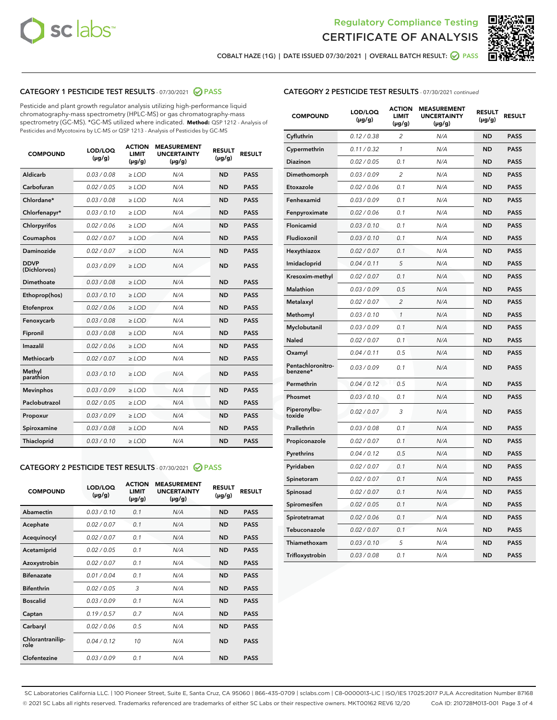



COBALT HAZE (1G) | DATE ISSUED 07/30/2021 | OVERALL BATCH RESULT: ● PASS

# CATEGORY 1 PESTICIDE TEST RESULTS - 07/30/2021 2 PASS

Pesticide and plant growth regulator analysis utilizing high-performance liquid chromatography-mass spectrometry (HPLC-MS) or gas chromatography-mass spectrometry (GC-MS). \*GC-MS utilized where indicated. **Method:** QSP 1212 - Analysis of Pesticides and Mycotoxins by LC-MS or QSP 1213 - Analysis of Pesticides by GC-MS

| Aldicarb<br>0.03 / 0.08<br>$\ge$ LOD<br>N/A<br><b>ND</b><br><b>PASS</b><br>Carbofuran<br>0.02 / 0.05<br><b>ND</b><br><b>PASS</b><br>$\geq$ LOD<br>N/A<br>Chlordane*<br>0.03 / 0.08<br>$\geq$ LOD<br>N/A<br><b>ND</b><br><b>PASS</b><br>Chlorfenapyr*<br>0.03/0.10<br>N/A<br><b>ND</b><br><b>PASS</b><br>$\geq$ LOD<br>N/A<br><b>ND</b><br><b>PASS</b><br>Chlorpyrifos<br>0.02 / 0.06<br>$\ge$ LOD<br>0.02 / 0.07<br>Coumaphos<br>$>$ LOD<br>N/A<br><b>ND</b><br><b>PASS</b><br>Daminozide<br>0.02/0.07<br>N/A<br><b>ND</b><br>$>$ LOD<br><b>PASS</b><br><b>DDVP</b><br>0.03/0.09<br>$\ge$ LOD<br>N/A<br><b>ND</b><br><b>PASS</b><br>(Dichlorvos)<br>Dimethoate<br>0.03 / 0.08<br>$\ge$ LOD<br>N/A<br><b>ND</b><br><b>PASS</b><br>0.03/0.10<br><b>ND</b><br><b>PASS</b><br>$\ge$ LOD<br>N/A<br>Ethoprop(hos)<br>0.02 / 0.06<br>$\ge$ LOD<br>N/A<br><b>ND</b><br><b>PASS</b><br>Etofenprox<br>0.03 / 0.08<br>$\ge$ LOD<br>N/A<br><b>ND</b><br><b>PASS</b><br>Fenoxycarb<br>0.03 / 0.08<br>Fipronil<br>$\ge$ LOD<br>N/A<br><b>ND</b><br><b>PASS</b><br>Imazalil<br>0.02 / 0.06<br>$\ge$ LOD<br>N/A<br><b>ND</b><br><b>PASS</b><br>Methiocarb<br>0.02 / 0.07<br>N/A<br><b>ND</b><br>$>$ LOD<br><b>PASS</b><br>Methyl<br>N/A<br><b>ND</b><br>0.03/0.10<br>$\ge$ LOD<br><b>PASS</b><br>parathion<br>0.03/0.09<br>N/A<br><b>ND</b><br><b>PASS</b><br><b>Mevinphos</b><br>$\ge$ LOD<br>Paclobutrazol<br>0.02 / 0.05<br><b>ND</b><br><b>PASS</b><br>$\ge$ LOD<br>N/A<br>0.03/0.09<br>$\ge$ LOD<br>N/A<br><b>ND</b><br><b>PASS</b><br>Propoxur<br>0.03 / 0.08<br>$\ge$ LOD<br>N/A<br><b>ND</b><br><b>PASS</b><br>Spiroxamine<br>0.03/0.10<br>Thiacloprid<br>$\ge$ LOD<br>N/A<br><b>ND</b><br><b>PASS</b> | <b>COMPOUND</b> | LOD/LOQ<br>$(\mu g/g)$ | <b>ACTION</b><br><b>LIMIT</b><br>$(\mu g/g)$ | <b>MEASUREMENT</b><br><b>UNCERTAINTY</b><br>$(\mu g/g)$ | <b>RESULT</b><br>$(\mu g/g)$ | <b>RESULT</b> |
|------------------------------------------------------------------------------------------------------------------------------------------------------------------------------------------------------------------------------------------------------------------------------------------------------------------------------------------------------------------------------------------------------------------------------------------------------------------------------------------------------------------------------------------------------------------------------------------------------------------------------------------------------------------------------------------------------------------------------------------------------------------------------------------------------------------------------------------------------------------------------------------------------------------------------------------------------------------------------------------------------------------------------------------------------------------------------------------------------------------------------------------------------------------------------------------------------------------------------------------------------------------------------------------------------------------------------------------------------------------------------------------------------------------------------------------------------------------------------------------------------------------------------------------------------------------------------------------------------------------------------------------------------------------------------------------------|-----------------|------------------------|----------------------------------------------|---------------------------------------------------------|------------------------------|---------------|
|                                                                                                                                                                                                                                                                                                                                                                                                                                                                                                                                                                                                                                                                                                                                                                                                                                                                                                                                                                                                                                                                                                                                                                                                                                                                                                                                                                                                                                                                                                                                                                                                                                                                                                |                 |                        |                                              |                                                         |                              |               |
|                                                                                                                                                                                                                                                                                                                                                                                                                                                                                                                                                                                                                                                                                                                                                                                                                                                                                                                                                                                                                                                                                                                                                                                                                                                                                                                                                                                                                                                                                                                                                                                                                                                                                                |                 |                        |                                              |                                                         |                              |               |
|                                                                                                                                                                                                                                                                                                                                                                                                                                                                                                                                                                                                                                                                                                                                                                                                                                                                                                                                                                                                                                                                                                                                                                                                                                                                                                                                                                                                                                                                                                                                                                                                                                                                                                |                 |                        |                                              |                                                         |                              |               |
|                                                                                                                                                                                                                                                                                                                                                                                                                                                                                                                                                                                                                                                                                                                                                                                                                                                                                                                                                                                                                                                                                                                                                                                                                                                                                                                                                                                                                                                                                                                                                                                                                                                                                                |                 |                        |                                              |                                                         |                              |               |
|                                                                                                                                                                                                                                                                                                                                                                                                                                                                                                                                                                                                                                                                                                                                                                                                                                                                                                                                                                                                                                                                                                                                                                                                                                                                                                                                                                                                                                                                                                                                                                                                                                                                                                |                 |                        |                                              |                                                         |                              |               |
|                                                                                                                                                                                                                                                                                                                                                                                                                                                                                                                                                                                                                                                                                                                                                                                                                                                                                                                                                                                                                                                                                                                                                                                                                                                                                                                                                                                                                                                                                                                                                                                                                                                                                                |                 |                        |                                              |                                                         |                              |               |
|                                                                                                                                                                                                                                                                                                                                                                                                                                                                                                                                                                                                                                                                                                                                                                                                                                                                                                                                                                                                                                                                                                                                                                                                                                                                                                                                                                                                                                                                                                                                                                                                                                                                                                |                 |                        |                                              |                                                         |                              |               |
|                                                                                                                                                                                                                                                                                                                                                                                                                                                                                                                                                                                                                                                                                                                                                                                                                                                                                                                                                                                                                                                                                                                                                                                                                                                                                                                                                                                                                                                                                                                                                                                                                                                                                                |                 |                        |                                              |                                                         |                              |               |
|                                                                                                                                                                                                                                                                                                                                                                                                                                                                                                                                                                                                                                                                                                                                                                                                                                                                                                                                                                                                                                                                                                                                                                                                                                                                                                                                                                                                                                                                                                                                                                                                                                                                                                |                 |                        |                                              |                                                         |                              |               |
|                                                                                                                                                                                                                                                                                                                                                                                                                                                                                                                                                                                                                                                                                                                                                                                                                                                                                                                                                                                                                                                                                                                                                                                                                                                                                                                                                                                                                                                                                                                                                                                                                                                                                                |                 |                        |                                              |                                                         |                              |               |
|                                                                                                                                                                                                                                                                                                                                                                                                                                                                                                                                                                                                                                                                                                                                                                                                                                                                                                                                                                                                                                                                                                                                                                                                                                                                                                                                                                                                                                                                                                                                                                                                                                                                                                |                 |                        |                                              |                                                         |                              |               |
|                                                                                                                                                                                                                                                                                                                                                                                                                                                                                                                                                                                                                                                                                                                                                                                                                                                                                                                                                                                                                                                                                                                                                                                                                                                                                                                                                                                                                                                                                                                                                                                                                                                                                                |                 |                        |                                              |                                                         |                              |               |
|                                                                                                                                                                                                                                                                                                                                                                                                                                                                                                                                                                                                                                                                                                                                                                                                                                                                                                                                                                                                                                                                                                                                                                                                                                                                                                                                                                                                                                                                                                                                                                                                                                                                                                |                 |                        |                                              |                                                         |                              |               |
|                                                                                                                                                                                                                                                                                                                                                                                                                                                                                                                                                                                                                                                                                                                                                                                                                                                                                                                                                                                                                                                                                                                                                                                                                                                                                                                                                                                                                                                                                                                                                                                                                                                                                                |                 |                        |                                              |                                                         |                              |               |
|                                                                                                                                                                                                                                                                                                                                                                                                                                                                                                                                                                                                                                                                                                                                                                                                                                                                                                                                                                                                                                                                                                                                                                                                                                                                                                                                                                                                                                                                                                                                                                                                                                                                                                |                 |                        |                                              |                                                         |                              |               |
|                                                                                                                                                                                                                                                                                                                                                                                                                                                                                                                                                                                                                                                                                                                                                                                                                                                                                                                                                                                                                                                                                                                                                                                                                                                                                                                                                                                                                                                                                                                                                                                                                                                                                                |                 |                        |                                              |                                                         |                              |               |
|                                                                                                                                                                                                                                                                                                                                                                                                                                                                                                                                                                                                                                                                                                                                                                                                                                                                                                                                                                                                                                                                                                                                                                                                                                                                                                                                                                                                                                                                                                                                                                                                                                                                                                |                 |                        |                                              |                                                         |                              |               |
|                                                                                                                                                                                                                                                                                                                                                                                                                                                                                                                                                                                                                                                                                                                                                                                                                                                                                                                                                                                                                                                                                                                                                                                                                                                                                                                                                                                                                                                                                                                                                                                                                                                                                                |                 |                        |                                              |                                                         |                              |               |
|                                                                                                                                                                                                                                                                                                                                                                                                                                                                                                                                                                                                                                                                                                                                                                                                                                                                                                                                                                                                                                                                                                                                                                                                                                                                                                                                                                                                                                                                                                                                                                                                                                                                                                |                 |                        |                                              |                                                         |                              |               |
|                                                                                                                                                                                                                                                                                                                                                                                                                                                                                                                                                                                                                                                                                                                                                                                                                                                                                                                                                                                                                                                                                                                                                                                                                                                                                                                                                                                                                                                                                                                                                                                                                                                                                                |                 |                        |                                              |                                                         |                              |               |
|                                                                                                                                                                                                                                                                                                                                                                                                                                                                                                                                                                                                                                                                                                                                                                                                                                                                                                                                                                                                                                                                                                                                                                                                                                                                                                                                                                                                                                                                                                                                                                                                                                                                                                |                 |                        |                                              |                                                         |                              |               |

# CATEGORY 2 PESTICIDE TEST RESULTS - 07/30/2021 @ PASS

| <b>ACTION</b><br><b>MEASUREMENT</b><br>LOD/LOQ<br><b>RESULT</b><br><b>RESULT</b><br><b>UNCERTAINTY</b><br><b>COMPOUND</b><br><b>LIMIT</b><br>$(\mu g/g)$<br>$(\mu g/g)$<br>$(\mu g/g)$<br>$(\mu g/g)$<br>Abamectin<br>0.03/0.10<br>0.1<br><b>ND</b><br><b>PASS</b><br>N/A<br>0.02/0.07<br><b>ND</b><br><b>PASS</b><br>Acephate<br>0.1<br>N/A<br>0.02/0.07<br><b>ND</b><br>0.1<br>N/A<br><b>PASS</b><br>Acequinocyl<br>0.02/0.05<br>0.1<br>N/A<br><b>ND</b><br><b>PASS</b><br>Acetamiprid<br>0.02/0.07<br>0.1<br><b>ND</b><br>Azoxystrobin<br>N/A<br><b>PASS</b><br><b>Bifenazate</b><br>0.01/0.04<br>0.1<br>N/A<br><b>ND</b><br><b>PASS</b><br><b>Bifenthrin</b><br>3<br>0.02/0.05<br><b>ND</b><br>N/A<br><b>PASS</b><br>0.03/0.09<br><b>Boscalid</b><br>0.1<br>N/A<br><b>ND</b><br><b>PASS</b><br>0.19/0.57<br>0.7<br>N/A<br><b>ND</b><br><b>PASS</b><br>Captan<br>0.02/0.06<br>0.5<br>N/A<br><b>ND</b><br><b>PASS</b><br>Carbaryl<br>Chlorantranilip-<br>0.04/0.12<br>10<br>N/A<br><b>ND</b><br><b>PASS</b><br>role<br>0.03/0.09<br>Clofentezine<br>0.1<br>N/A<br><b>ND</b><br><b>PASS</b> |  |  |  |  |
|----------------------------------------------------------------------------------------------------------------------------------------------------------------------------------------------------------------------------------------------------------------------------------------------------------------------------------------------------------------------------------------------------------------------------------------------------------------------------------------------------------------------------------------------------------------------------------------------------------------------------------------------------------------------------------------------------------------------------------------------------------------------------------------------------------------------------------------------------------------------------------------------------------------------------------------------------------------------------------------------------------------------------------------------------------------------------------------------|--|--|--|--|
|                                                                                                                                                                                                                                                                                                                                                                                                                                                                                                                                                                                                                                                                                                                                                                                                                                                                                                                                                                                                                                                                                              |  |  |  |  |
|                                                                                                                                                                                                                                                                                                                                                                                                                                                                                                                                                                                                                                                                                                                                                                                                                                                                                                                                                                                                                                                                                              |  |  |  |  |
|                                                                                                                                                                                                                                                                                                                                                                                                                                                                                                                                                                                                                                                                                                                                                                                                                                                                                                                                                                                                                                                                                              |  |  |  |  |
|                                                                                                                                                                                                                                                                                                                                                                                                                                                                                                                                                                                                                                                                                                                                                                                                                                                                                                                                                                                                                                                                                              |  |  |  |  |
|                                                                                                                                                                                                                                                                                                                                                                                                                                                                                                                                                                                                                                                                                                                                                                                                                                                                                                                                                                                                                                                                                              |  |  |  |  |
|                                                                                                                                                                                                                                                                                                                                                                                                                                                                                                                                                                                                                                                                                                                                                                                                                                                                                                                                                                                                                                                                                              |  |  |  |  |
|                                                                                                                                                                                                                                                                                                                                                                                                                                                                                                                                                                                                                                                                                                                                                                                                                                                                                                                                                                                                                                                                                              |  |  |  |  |
|                                                                                                                                                                                                                                                                                                                                                                                                                                                                                                                                                                                                                                                                                                                                                                                                                                                                                                                                                                                                                                                                                              |  |  |  |  |
|                                                                                                                                                                                                                                                                                                                                                                                                                                                                                                                                                                                                                                                                                                                                                                                                                                                                                                                                                                                                                                                                                              |  |  |  |  |
|                                                                                                                                                                                                                                                                                                                                                                                                                                                                                                                                                                                                                                                                                                                                                                                                                                                                                                                                                                                                                                                                                              |  |  |  |  |
|                                                                                                                                                                                                                                                                                                                                                                                                                                                                                                                                                                                                                                                                                                                                                                                                                                                                                                                                                                                                                                                                                              |  |  |  |  |
|                                                                                                                                                                                                                                                                                                                                                                                                                                                                                                                                                                                                                                                                                                                                                                                                                                                                                                                                                                                                                                                                                              |  |  |  |  |
|                                                                                                                                                                                                                                                                                                                                                                                                                                                                                                                                                                                                                                                                                                                                                                                                                                                                                                                                                                                                                                                                                              |  |  |  |  |

| <b>CATEGORY 2 PESTICIDE TEST RESULTS</b> - 07/30/2021 continued |
|-----------------------------------------------------------------|
|-----------------------------------------------------------------|

| <b>COMPOUND</b>               | LOD/LOQ<br>(µg/g) | <b>ACTION</b><br><b>LIMIT</b><br>(µg/g) | <b>MEASUREMENT</b><br><b>UNCERTAINTY</b><br>$(\mu g/g)$ | <b>RESULT</b><br>(µg/g) | <b>RESULT</b> |
|-------------------------------|-------------------|-----------------------------------------|---------------------------------------------------------|-------------------------|---------------|
| Cyfluthrin                    | 0.12 / 0.38       | $\overline{c}$                          | N/A                                                     | <b>ND</b>               | <b>PASS</b>   |
| Cypermethrin                  | 0.11 / 0.32       | $\mathcal{I}$                           | N/A                                                     | <b>ND</b>               | <b>PASS</b>   |
| <b>Diazinon</b>               | 0.02 / 0.05       | 0.1                                     | N/A                                                     | <b>ND</b>               | <b>PASS</b>   |
| Dimethomorph                  | 0.03 / 0.09       | 2                                       | N/A                                                     | <b>ND</b>               | <b>PASS</b>   |
| Etoxazole                     | 0.02 / 0.06       | 0.1                                     | N/A                                                     | <b>ND</b>               | <b>PASS</b>   |
| Fenhexamid                    | 0.03 / 0.09       | 0.1                                     | N/A                                                     | <b>ND</b>               | <b>PASS</b>   |
| Fenpyroximate                 | 0.02 / 0.06       | 0.1                                     | N/A                                                     | <b>ND</b>               | <b>PASS</b>   |
| Flonicamid                    | 0.03 / 0.10       | 0.1                                     | N/A                                                     | <b>ND</b>               | <b>PASS</b>   |
| Fludioxonil                   | 0.03/0.10         | 0.1                                     | N/A                                                     | <b>ND</b>               | <b>PASS</b>   |
| Hexythiazox                   | 0.02 / 0.07       | 0.1                                     | N/A                                                     | <b>ND</b>               | <b>PASS</b>   |
| Imidacloprid                  | 0.04 / 0.11       | 5                                       | N/A                                                     | <b>ND</b>               | <b>PASS</b>   |
| Kresoxim-methyl               | 0.02 / 0.07       | 0.1                                     | N/A                                                     | <b>ND</b>               | <b>PASS</b>   |
| <b>Malathion</b>              | 0.03 / 0.09       | 0.5                                     | N/A                                                     | <b>ND</b>               | <b>PASS</b>   |
| Metalaxyl                     | 0.02 / 0.07       | $\overline{c}$                          | N/A                                                     | <b>ND</b>               | <b>PASS</b>   |
| Methomyl                      | 0.03 / 0.10       | 1                                       | N/A                                                     | <b>ND</b>               | <b>PASS</b>   |
| Myclobutanil                  | 0.03 / 0.09       | 0.1                                     | N/A                                                     | <b>ND</b>               | <b>PASS</b>   |
| Naled                         | 0.02 / 0.07       | 0.1                                     | N/A                                                     | <b>ND</b>               | <b>PASS</b>   |
| Oxamyl                        | 0.04 / 0.11       | 0.5                                     | N/A                                                     | <b>ND</b>               | <b>PASS</b>   |
| Pentachloronitro-<br>benzene* | 0.03 / 0.09       | 0.1                                     | N/A                                                     | <b>ND</b>               | <b>PASS</b>   |
| Permethrin                    | 0.04 / 0.12       | 0.5                                     | N/A                                                     | <b>ND</b>               | <b>PASS</b>   |
| Phosmet                       | 0.03 / 0.10       | 0.1                                     | N/A                                                     | <b>ND</b>               | <b>PASS</b>   |
| Piperonylbu-<br>toxide        | 0.02 / 0.07       | 3                                       | N/A                                                     | <b>ND</b>               | <b>PASS</b>   |
| Prallethrin                   | 0.03 / 0.08       | 0.1                                     | N/A                                                     | <b>ND</b>               | <b>PASS</b>   |
| Propiconazole                 | 0.02 / 0.07       | 0.1                                     | N/A                                                     | <b>ND</b>               | <b>PASS</b>   |
| Pyrethrins                    | 0.04 / 0.12       | 0.5                                     | N/A                                                     | <b>ND</b>               | <b>PASS</b>   |
| Pyridaben                     | 0.02 / 0.07       | 0.1                                     | N/A                                                     | <b>ND</b>               | <b>PASS</b>   |
| Spinetoram                    | 0.02 / 0.07       | 0.1                                     | N/A                                                     | <b>ND</b>               | <b>PASS</b>   |
| Spinosad                      | 0.02 / 0.07       | 0.1                                     | N/A                                                     | <b>ND</b>               | <b>PASS</b>   |
| Spiromesifen                  | 0.02 / 0.05       | 0.1                                     | N/A                                                     | <b>ND</b>               | <b>PASS</b>   |
| Spirotetramat                 | 0.02 / 0.06       | 0.1                                     | N/A                                                     | <b>ND</b>               | <b>PASS</b>   |
| Tebuconazole                  | 0.02 / 0.07       | 0.1                                     | N/A                                                     | <b>ND</b>               | <b>PASS</b>   |
| Thiamethoxam                  | 0.03 / 0.10       | 5                                       | N/A                                                     | <b>ND</b>               | <b>PASS</b>   |
| Trifloxystrobin               | 0.03 / 0.08       | 0.1                                     | N/A                                                     | <b>ND</b>               | <b>PASS</b>   |

SC Laboratories California LLC. | 100 Pioneer Street, Suite E, Santa Cruz, CA 95060 | 866-435-0709 | sclabs.com | C8-0000013-LIC | ISO/IES 17025:2017 PJLA Accreditation Number 87168 © 2021 SC Labs all rights reserved. Trademarks referenced are trademarks of either SC Labs or their respective owners. MKT00162 REV6 12/20 CoA ID: 210728M013-001 Page 3 of 4